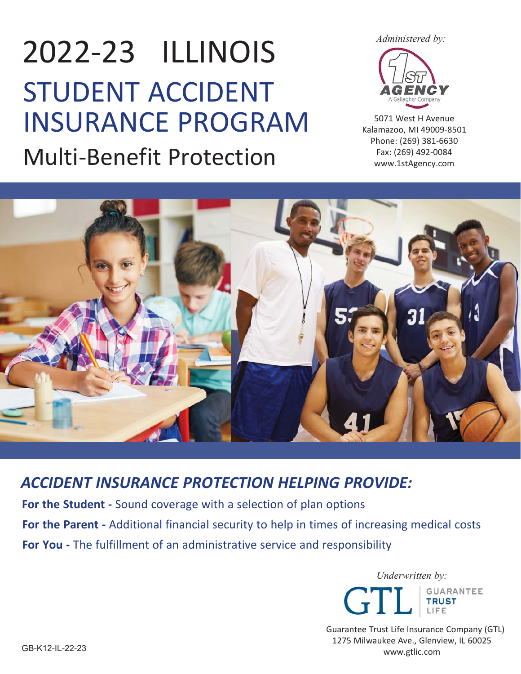2022‐23 ILLINOIS STUDENT ACCIDENT INSURANCE PROGRAM Multi‐Benefit Protection

*Administered by:*



5071 West H Avenue Kalamazoo, MI 49009‐8501 Phone: (269) 381‐6630 Fax: (269) 492‐0084 www.1stAgency.com



*ACCIDENT INSURANCE PROTECTION HELPING PROVIDE:* 

For the Student - Sound coverage with a selection of plan options For the Parent **-** Additional financial security to help in times of increasing medical costs **For You** - The fulfillment of an administrative service and responsibility



Guarantee Trust Life Insurance Company (GTL) 1275 Milwaukee Ave., Glenview, IL 60025 www.gtlic.com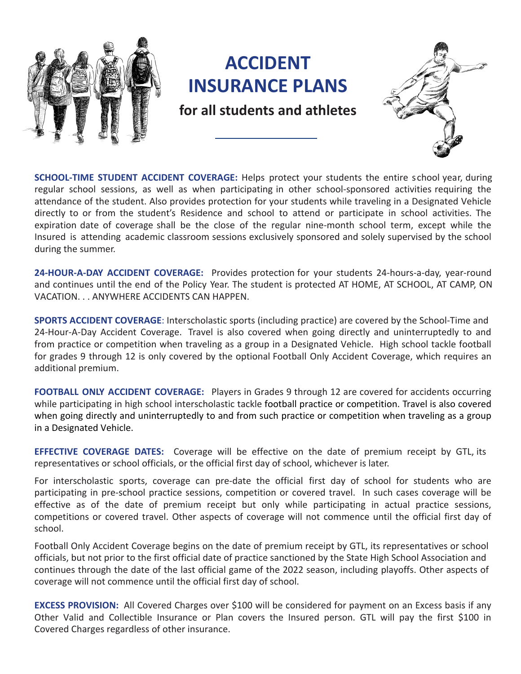

**SCHOOL-TIME STUDENT ACCIDENT COVERAGE:** Helps protect your students the entire school year, during regular school sessions, as well as when participating in other school-sponsored activities requiring the attendance of the student. Also provides protection for your students while traveling in a Designated Vehicle directly to or from the student's Residence and school to attend or participate in school activities. The expiration date of coverage shall be the close of the regular nine-month school term, except while the Insured is attending academic classroom sessions exclusively sponsored and solely supervised by the school during the summer.

**24-HOUR-A-DAY ACCIDENT COVERAGE:** Provides protection for your students 24-hours-a-day, year-round and continues until the end of the Policy Year. The student is protected AT HOME, AT SCHOOL, AT CAMP, ON VACATION. . . ANYWHERE ACCIDENTS CAN HAPPEN.

**SPORTS ACCIDENT COVERAGE**: Interscholastic sports (including practice) are covered by the School-Time and 24-Hour-A-Day Accident Coverage. Travel is also covered when going directly and uninterruptedly to and from practice or competition when traveling as a group in a Designated Vehicle. High school tackle football for grades 9 through 12 is only covered by the optional Football Only Accident Coverage, which requires an additional premium.

**FOOTBALL ONLY ACCIDENT COVERAGE:** Players in Grades 9 through 12 are covered for accidents occurring while participating in high school interscholastic tackle football practice or competition. Travel is also covered when going directly and uninterruptedly to and from such practice or competition when traveling as a group in a Designated Vehicle.

**EFFECTIVE COVERAGE DATES:** Coverage will be effective on the date of premium receipt by GTL, its representatives or school officials, or the official first day of school, whichever is later.

For interscholastic sports, coverage can pre-date the official first day of school for students who are participating in pre-school practice sessions, competition or covered travel. In such cases coverage will be effective as of the date of premium receipt but only while participating in actual practice sessions, competitions or covered travel. Other aspects of coverage will not commence until the official first day of school.

Football Only Accident Coverage begins on the date of premium receipt by GTL, its representatives or school officials, but not prior to the first official date of practice sanctioned by the State High School Association and continues through the date of the last official game of the 2022 season, including playoffs. Other aspects of coverage will not commence until the official first day of school.

**EXCESS PROVISION:** All Covered Charges over \$100 will be considered for payment on an Excess basis if any Other Valid and Collectible Insurance or Plan covers the Insured person. GTL will pay the first \$100 in Covered Charges regardless of other insurance.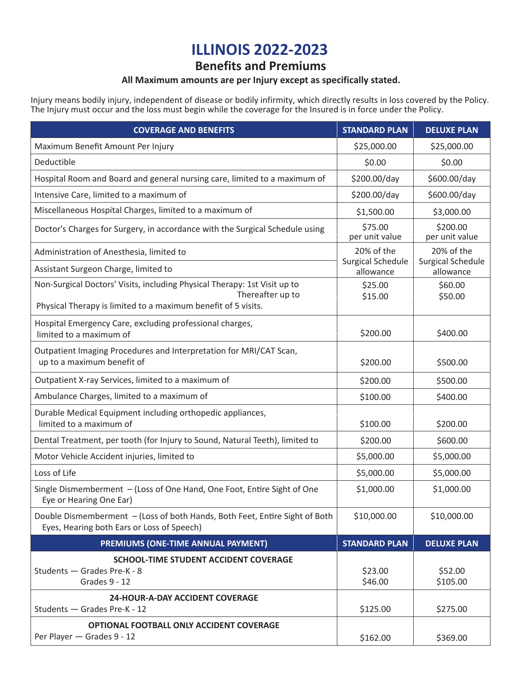# **ILLINOIS 2022-2023**

## **Benefits and Premiums**

### **All Maximum amounts are per Injury except as specifically stated.**

Injury means bodily injury, independent of disease or bodily infirmity, which directly results in loss covered by the Policy. The Injury must occur and the loss must begin while the coverage for the Insured is in force under the Policy.

| <b>COVERAGE AND BENEFITS</b>                                                                                                                                   | <b>STANDARD PLAN</b>                  | <b>DELUXE PLAN</b>                    |
|----------------------------------------------------------------------------------------------------------------------------------------------------------------|---------------------------------------|---------------------------------------|
| Maximum Benefit Amount Per Injury                                                                                                                              | \$25,000.00                           | \$25,000.00                           |
| Deductible                                                                                                                                                     | \$0.00                                | \$0.00                                |
| Hospital Room and Board and general nursing care, limited to a maximum of                                                                                      | \$200.00/day                          | \$600.00/day                          |
| Intensive Care, limited to a maximum of                                                                                                                        | \$200.00/day                          | \$600.00/day                          |
| Miscellaneous Hospital Charges, limited to a maximum of                                                                                                        | \$1,500.00                            | \$3,000.00                            |
| Doctor's Charges for Surgery, in accordance with the Surgical Schedule using                                                                                   | \$75.00<br>per unit value             | \$200.00<br>per unit value            |
| Administration of Anesthesia, limited to                                                                                                                       | 20% of the                            | 20% of the                            |
| Assistant Surgeon Charge, limited to                                                                                                                           | <b>Surgical Schedule</b><br>allowance | <b>Surgical Schedule</b><br>allowance |
| Non-Surgical Doctors' Visits, including Physical Therapy: 1st Visit up to<br>Thereafter up to<br>Physical Therapy is limited to a maximum benefit of 5 visits. | \$25.00<br>\$15.00                    | \$60.00<br>\$50.00                    |
| Hospital Emergency Care, excluding professional charges,<br>limited to a maximum of                                                                            | \$200.00                              | \$400.00                              |
| Outpatient Imaging Procedures and Interpretation for MRI/CAT Scan,<br>up to a maximum benefit of                                                               | \$200.00                              | \$500.00                              |
| Outpatient X-ray Services, limited to a maximum of                                                                                                             | \$200.00                              | \$500.00                              |
| Ambulance Charges, limited to a maximum of                                                                                                                     | \$100.00                              | \$400.00                              |
| Durable Medical Equipment including orthopedic appliances,<br>limited to a maximum of                                                                          | \$100.00                              | \$200.00                              |
| Dental Treatment, per tooth (for Injury to Sound, Natural Teeth), limited to                                                                                   | \$200.00                              | \$600.00                              |
| Motor Vehicle Accident injuries, limited to                                                                                                                    | \$5,000.00                            | \$5,000.00                            |
| Loss of Life                                                                                                                                                   | \$5,000.00                            | \$5,000.00                            |
| Single Dismemberment - (Loss of One Hand, One Foot, Entire Sight of One<br>Eye or Hearing One Ear)                                                             | \$1,000.00                            | \$1,000.00                            |
| Double Dismemberment - (Loss of both Hands, Both Feet, Entire Sight of Both<br>Eyes, Hearing both Ears or Loss of Speech)                                      | \$10,000.00                           | \$10,000.00                           |
| PREMIUMS (ONE-TIME ANNUAL PAYMENT)                                                                                                                             | <b>STANDARD PLAN</b>                  | <b>DELUXE PLAN</b>                    |
| SCHOOL-TIME STUDENT ACCIDENT COVERAGE<br>Students - Grades Pre-K - 8<br>Grades 9 - 12                                                                          | \$23.00<br>\$46.00                    | \$52.00<br>\$105.00                   |
| <b>24-HOUR-A-DAY ACCIDENT COVERAGE</b><br>Students - Grades Pre-K - 12                                                                                         | \$125.00                              | \$275.00                              |
| OPTIONAL FOOTBALL ONLY ACCIDENT COVERAGE<br>Per Player - Grades 9 - 12                                                                                         | \$162.00                              | \$369.00                              |